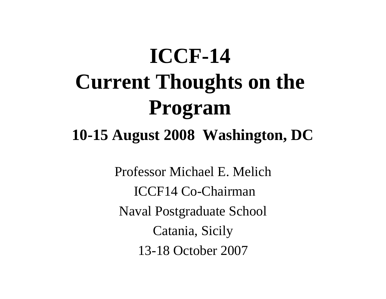# **ICCF-14 Current Thoughts on the Program**

#### **10-15 August 2008 Washington, DC**

Professor Michael E. Melich ICCF14 Co-ChairmanNaval Postgraduate School Catania, Sicily 13-18 October 2007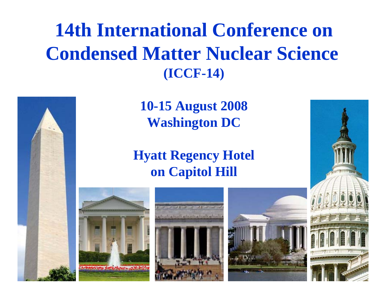#### **14th International Conference on Condensed Matter Nuclear Science (ICCF-14)**



**10-15 August 2008 Washington DC**

#### **Hyatt Regency Hotel on Capitol Hill**







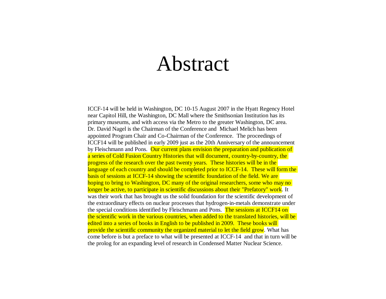#### Abstract

ICCF-14 will be held in Washington, DC 10-15 August 2007 in the Hyatt Regency Hotel near Capitol Hill, the Washington, DC Mall where the Smithsonian Institution has its primary museums, and with access via the Metro to the greater Washington, DC area. Dr. David Nagel is the Chairman of the Conference and Michael Melich has been appointed Program Chair and Co-Chairman of the Conference. The proceedings of ICCF14 will be published in early 2009 just as the 20th Anniversary of the announcement by Fleischmann and Pons. Our current plans envision the preparation and publication of a series of Cold Fusion Country Histories that will document, country-by-country, the progress of the research over the past twenty years. These histories will be in the language of each country and should be completed prior to ICCF-14. These will form the basis of sessions at ICCF-14 showing the scientific foundation of the field. We are hoping to bring to Washington, DC many of the original researchers, some who may no longer be active, to participate in scientific discussions about their "Prefatory" work. It was their work that has brought us the solid foundation for the scientific development of the extraordinary effects on nuclear processes that hydrogen-in-metals demonstrate under the special conditions identified by Fleischmann and Pons. The sessions at ICCF14 on the scientific work in the various countries, when added to the translated histories, will be edited into a series of books in English to be published in 2009. These books will provide the scientific community the organized material to let the field grow. What has come before is but a preface to what will be presented at ICCF-14 and that in turn will be the prolog for an expanding level of research in Condensed Matter Nuclear Science.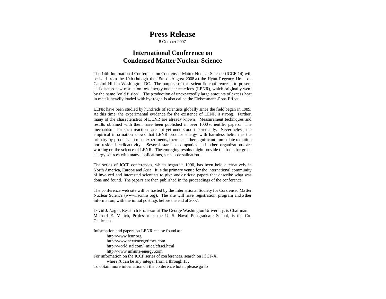#### **Press Release**

8 October 2007

#### **International Conference onCondensed Matter Nuclear Science**

The 14th International Conference on Condensed Matter Nuclear Science (ICCF-14) will be held from the 10th through the 15th of August 2008 a t the Hyatt Regency Hotel on Capitol Hill in Washington DC. The purpose of this scientific conference is to present and discuss new results on low energy nuclear reactions (LENR), which originally went by the name "cold fusion". The production of unexpectedly large amounts of excess heat in metals heavily loaded with hydrogen is also called the Fleischmann-Pons Effect.

LENR have been studied by hundreds of scientists globally since the field began in 1989. At this time, the experimental evidence for the existence of LENR is st rong. Further, many of the characteristics of LENR are already known. Measurement techniques and results obtained with them have been published in over 1000 sc ientific papers. The mechanisms for such reactions are not yet understood theoretically. Nevertheless, the empirical information shows that LENR produce energy with harmless helium as the primary by-product. In most experiments, there is neither significant immediate radiation nor residual radioactivity. Several start-up companies and other organizations are working on the science of LENR. The emerging results might provide the basis for green energy sources with many applications, such as de salination.

The series of ICCF conferences, which began in 1990, has been held alternatively in North America, Europe and Asia. It is the primary venue for the international community of involved and interested scientists to give and c ritique papers that describe what was done and found. The pape rs are then published in the proceedings of the conference.

The conference web site will be hosted by the International Society for Condensed Matter Nuclear Science (www.iscmns.org). The site will have registration, program and o ther information, with the initial postings before the end of 2007.

David J. Nagel, Research Professor at The George Washington University, is Chairman. Michael E. Melich, Professor at the U. S. Naval Postgraduate School, is the Co-Chairman.

Information and papers on LENR can be found at: http://www.lenr.org http://www.newenergytimes.com http://world.std.com/~mica/cftsci.html http://www.infinite-energy.com For information on the ICCF series of con ferences, search on ICCF-X, where X can be any integer from 1 through 13. To obtain more information on the conference hotel, please go to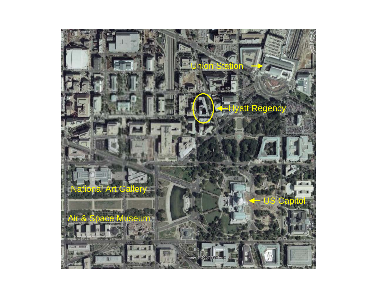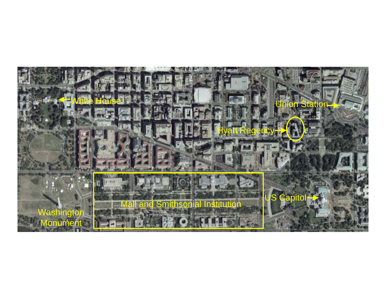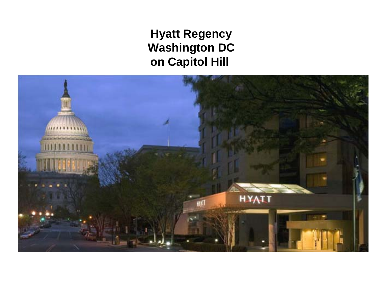**Hyatt Regency Washington DC on Capitol Hill** 

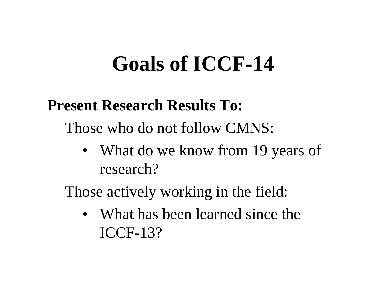## **Goals of ICCF-14**

#### **Present Research Results To:**

Those who do not follow CMNS:

• What do we know from 19 years of research?

Those actively working in the field:

• What has been learned since the ICCF-13?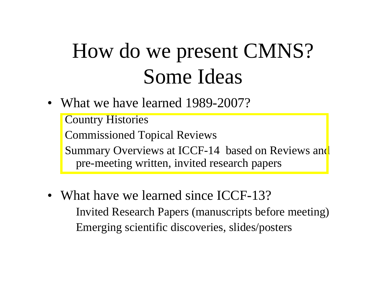# How do we present CMNS? Some Ideas

 $\bullet$ What we have learned 1989-2007?

Country Histories Commissioned Topical Reviews Summary Overviews at ICCF-14 based on Reviews and pre-meeting written, invited research papers

• What have we learned since ICCF-13? Invited Research Papers (manuscripts before meeting) Emerging scientific discoveries, slides/posters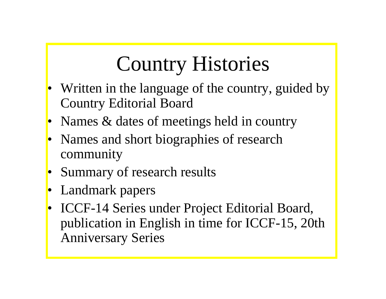# Country Histories

- • Written in the language of the country, guided by Country Editorial Board
- •Names & dates of meetings held in country
- Names and short biographies of research community
- •Summary of research results
- •Landmark papers
- ICCF-14 Series under Project Editorial Board, publication in English in time for ICCF-15, 20th Anniversary Series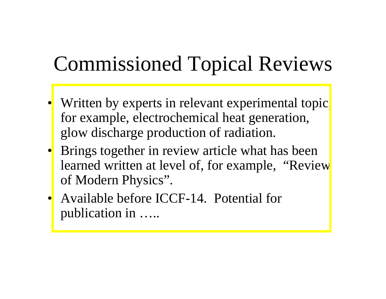## Commissioned Topical Reviews

- •Written by experts in relevant experimental topic for example, electrochemical heat generation, glow discharge production of radiation.
- Brings together in review article what has been learned written at level of, for example, "Review" of Modern Physics".
- Available before ICCF-14. Potential for publication in …..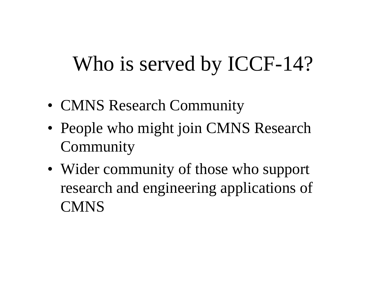# Who is served by ICCF-14?

- CMNS Research Community
- People who might join CMNS Research **Community**
- Wider community of those who support research and engineering applications of **CMNS**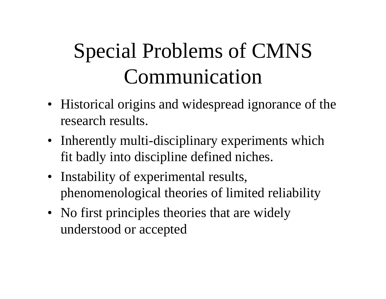# Special Problems of CMNS Communication

- Historical origins and widespread ignorance of the research results.
- Inherently multi-disciplinary experiments which fit badly into discipline defined niches.
- Instability of experimental results, phenomenological theories of limited reliability
- No first principles theories that are widely understood or accepted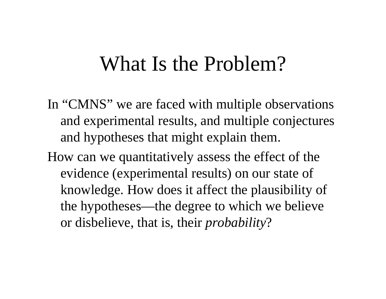- In "CMNS" we are faced with multiple observations and experimental results, and multiple conjectures and hypotheses that might explain them.
- How can we quantitatively assess the effect of the evidence (experimental results) on our state of knowledge. How does it affect the plausibility of the hypotheses—the degree to which we believe or disbelieve, that is, their *probability* ?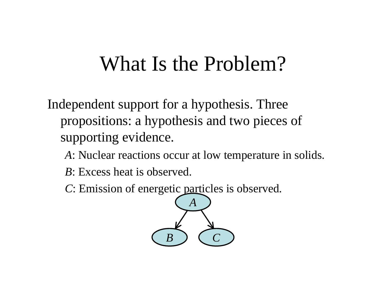Independent support for a hypothesis. Three propositions: a hypothesis and two pieces of supporting evidence.

- *A*: Nuclear reactions occur at low temperature in solids.
- *B*: Excess heat is observed.
- *C*: Emission of energetic particles is observed.

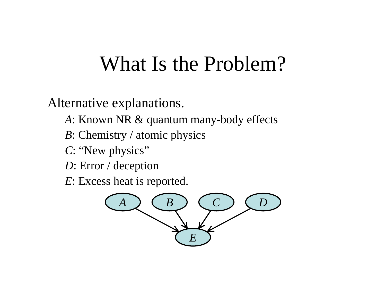Alternative explanations.

- *A*: Known NR & quantum many-body effects
- *B*: Chemistry / atomic physics
- *C*: "New physics"
- *D*: Error / deception

*E*: Excess heat is reported.

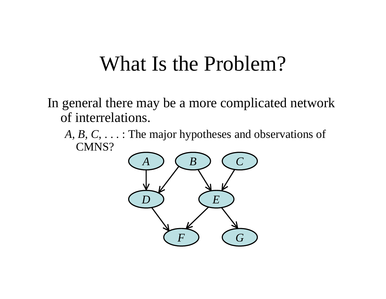In general there may be a more complicated network of interrelations.

*A, B, C,* . . . : The major hypotheses and observations of CMNS?

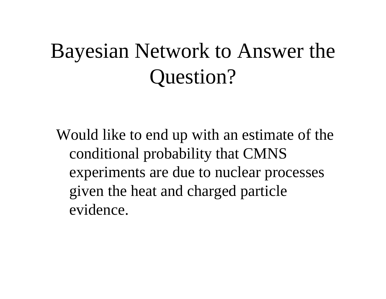# Bayesian Network to Answer the Question?

Would like to end up with an estimate of the conditional probability that CMNS experiments are due to nuclear processes given the heat and charged particle evidence.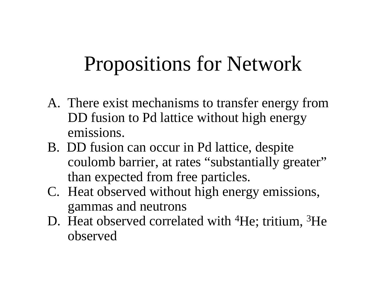### Propositions for Network

- A. There exist mechanisms to transfer energy from DD fusion to Pd lattice without high energy emissions.
- B. DD fusion can occur in Pd lattice, despite coulomb barrier, at rates "substantially greater" than expected from free particles.
- C. Heat observed without high energy emissions, gammas and neutrons
- D. Heat observed correlated with <sup>4</sup>He; tritium, <sup>3</sup>He observed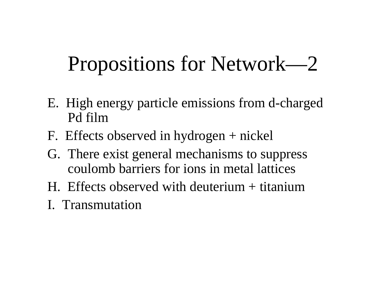# Propositions for Network—2

- E. High energy particle emissions from d-charged Pd film
- F. Effects observed in hydrogen + nickel
- G. There exist general mechanisms to suppress coulomb barriers for ions in metal lattices
- H. Effects observed with deuterium + titanium
- I. Transmutation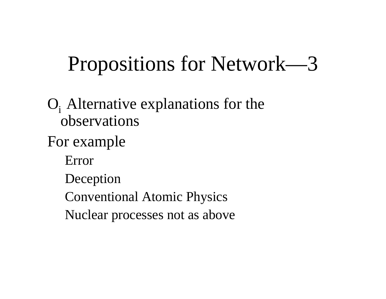# Propositions for Network—3

#### $O_i$ . Alternative explanations for the observations

#### For example

Error

Deception

Conventional Atomic Physics

Nuclear processes not as above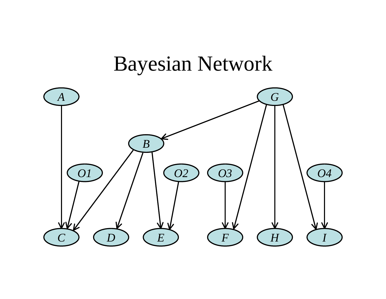### Bayesian Network

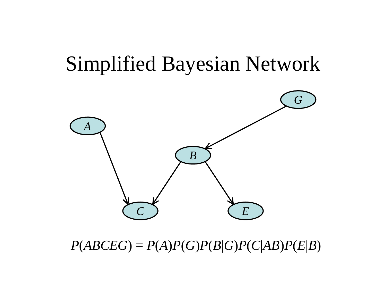

#### $P(ABCDEG) = P(A)P(G)P(B|G)P(C|AB)P(E|B)$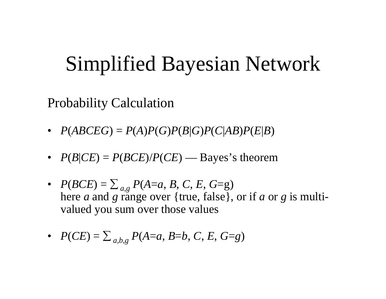Probability Calculation

- $P(ABCDEG) = P(A)P(G)P(B|G)P(C|AB)P(E|B)$
- $P(B|CE) = P(BCE)/P(CE)$  Bayes's theorem
- $P(BCE) = \sum_{a,g} P(A=a, B, C, E, G=g)$ here *a* and *g* range over {true, false}, or if *a* or *g* is multivalued you sum over those values
- $P(CE) = \sum_{a,b,g} P(A=a, B=b, C, E, G=g)$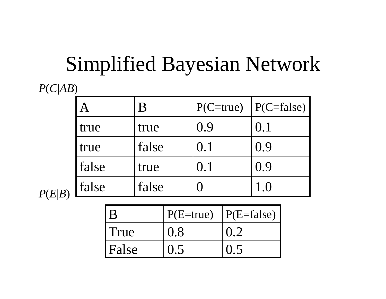*P* ( *C*|*AB* )

|       | В     | $P(C=true)$ | $\vert$ P(C=false) |
|-------|-------|-------------|--------------------|
| true  | true  | 0.9         | 0.1                |
| true  | false | 0.1         | (0.9)              |
| false | true  | 0.1         | 0.9                |
| false | false |             | $1_{\cdot}$ ()     |

*P* ( *E*|*B* )

| B     | $P(E=true)$ | $ P(E=false) $ |
|-------|-------------|----------------|
| True  | 0.8         |                |
| False |             |                |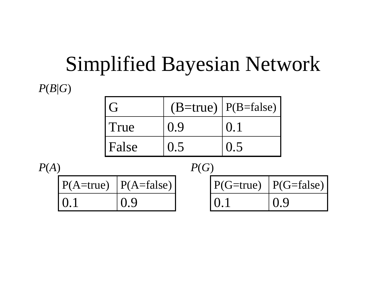#### Simplified Bayesian Network  $P(B|G)$

| $\mathcal{G}$ |     | $(B=true)$   P(B=false)                           |
|---------------|-----|---------------------------------------------------|
| l True        | 0.9 | $\left( \begin{array}{c} 0.1 \end{array} \right)$ |
| <b>False</b>  |     |                                                   |

0.1 0.9  $P(A=true)$  |  $P(A=false)$ 0.1 0.9  $P(G=true)$  |  $P(G=false)$ *P* (*A* ) *P* ( *G* )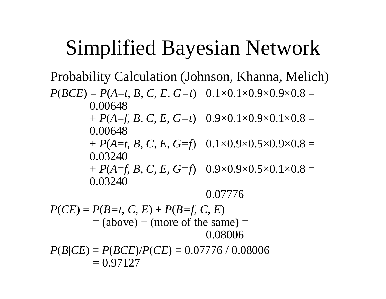Probability Calculation (Johnson, Khanna, Melich)

 $P(BCE) = P(A=t, B, C, E, G=t)$  0.1×0.1×0.9×0.9×0.8 = 0.00648

> $+ P(A = f, B, C, E, G = t) 0.9 \times 0.1 \times 0.9 \times 0.1 \times 0.8 = 0.9$ 0.00648

> $+ P(A=t, B, C, E, G=f)$  0.1×0.9×0.5×0.9×0.8 = 0.03240

> $+ P(A = f, B, C, E, G = f) 0.9 \times 0.9 \times 0.5 \times 0.1 \times 0.8 =$ 0.03240

> > 0.07776

 $P(CE) = P(B = t, C, E) + P(B = f, C, E)$  $=$  (above) + (more of the same)  $=$ 0.08006  $P(B|CE) = P(BCE)/P(CE) = 0.07776 \; \text{/} \; 0.08006$ 

 $= 0.97127$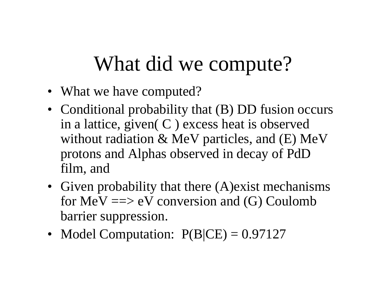# What did we compute?

- What we have computed?
- Conditional probability that (B) DD fusion occurs in a lattice, given  $(C)$  excess heat is observed without radiation & MeV particles, and (E) MeV protons and Alphas observed in decay of PdD film, and
- Given probability that there (A) exist mechanisms for  $MeV \implies eV$  conversion and (G) Coulomb barrier suppression.
- Model Computation:  $P(B|CE) = 0.97127$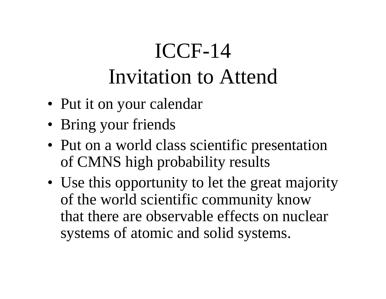# ICCF-14 Invitation to Attend

- Put it on your calendar
- Bring your friends
- Put on a world class scientific presentation of CMNS high probability results
- Use this opportunity to let the great majority of the world scientific community know that there are observable effects on nuclear systems of atomic and solid systems.